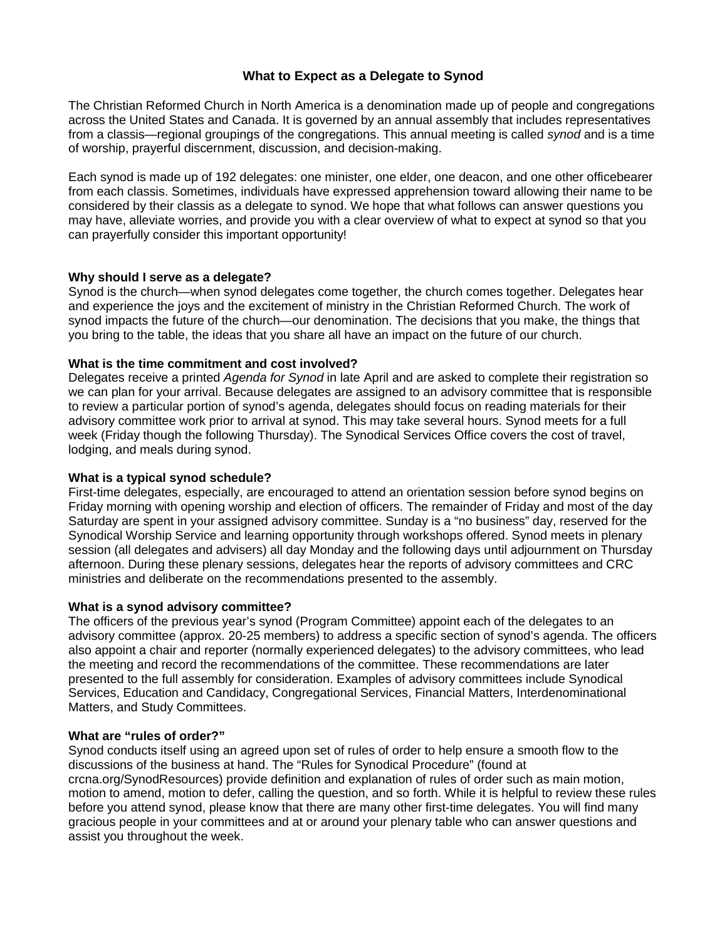# **What to Expect as a Delegate to Synod**

The Christian Reformed Church in North America is a denomination made up of people and congregations across the United States and Canada. It is governed by an annual assembly that includes representatives from a classis—regional groupings of the congregations. This annual meeting is called *synod* and is a time of worship, prayerful discernment, discussion, and decision-making.

Each synod is made up of 192 delegates: one minister, one elder, one deacon, and one other officebearer from each classis. Sometimes, individuals have expressed apprehension toward allowing their name to be considered by their classis as a delegate to synod. We hope that what follows can answer questions you may have, alleviate worries, and provide you with a clear overview of what to expect at synod so that you can prayerfully consider this important opportunity!

## **Why should I serve as a delegate?**

Synod is the church—when synod delegates come together, the church comes together. Delegates hear and experience the joys and the excitement of ministry in the Christian Reformed Church. The work of synod impacts the future of the church—our denomination. The decisions that you make, the things that you bring to the table, the ideas that you share all have an impact on the future of our church.

## **What is the time commitment and cost involved?**

Delegates receive a printed *Agenda for Synod* in late April and are asked to complete their registration so we can plan for your arrival. Because delegates are assigned to an advisory committee that is responsible to review a particular portion of synod's agenda, delegates should focus on reading materials for their advisory committee work prior to arrival at synod. This may take several hours. Synod meets for a full week (Friday though the following Thursday). The Synodical Services Office covers the cost of travel, lodging, and meals during synod.

## **What is a typical synod schedule?**

First-time delegates, especially, are encouraged to attend an orientation session before synod begins on Friday morning with opening worship and election of officers. The remainder of Friday and most of the day Saturday are spent in your assigned advisory committee. Sunday is a "no business" day, reserved for the Synodical Worship Service and learning opportunity through workshops offered. Synod meets in plenary session (all delegates and advisers) all day Monday and the following days until adjournment on Thursday afternoon. During these plenary sessions, delegates hear the reports of advisory committees and CRC ministries and deliberate on the recommendations presented to the assembly.

#### **What is a synod advisory committee?**

The officers of the previous year's synod (Program Committee) appoint each of the delegates to an advisory committee (approx. 20-25 members) to address a specific section of synod's agenda. The officers also appoint a chair and reporter (normally experienced delegates) to the advisory committees, who lead the meeting and record the recommendations of the committee. These recommendations are later presented to the full assembly for consideration. Examples of advisory committees include Synodical Services, Education and Candidacy, Congregational Services, Financial Matters, Interdenominational Matters, and Study Committees.

#### **What are "rules of order?"**

Synod conducts itself using an agreed upon set of rules of order to help ensure a smooth flow to the discussions of the business at hand. The "Rules for Synodical Procedure" (found at crcna.org/SynodResources) provide definition and explanation of rules of order such as main motion, motion to amend, motion to defer, calling the question, and so forth. While it is helpful to review these rules before you attend synod, please know that there are many other first-time delegates. You will find many gracious people in your committees and at or around your plenary table who can answer questions and assist you throughout the week.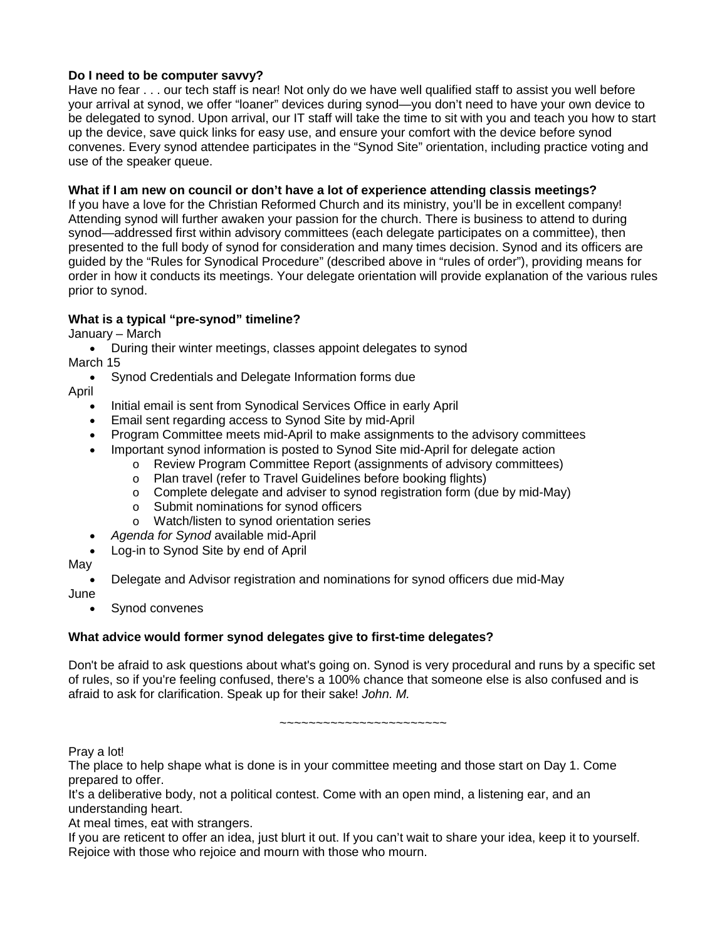## **Do I need to be computer savvy?**

Have no fear . . . our tech staff is near! Not only do we have well qualified staff to assist you well before your arrival at synod, we offer "loaner" devices during synod—you don't need to have your own device to be delegated to synod. Upon arrival, our IT staff will take the time to sit with you and teach you how to start up the device, save quick links for easy use, and ensure your comfort with the device before synod convenes. Every synod attendee participates in the "Synod Site" orientation, including practice voting and use of the speaker queue.

## **What if I am new on council or don't have a lot of experience attending classis meetings?**

If you have a love for the Christian Reformed Church and its ministry, you'll be in excellent company! Attending synod will further awaken your passion for the church. There is business to attend to during synod—addressed first within advisory committees (each delegate participates on a committee), then presented to the full body of synod for consideration and many times decision. Synod and its officers are guided by the "Rules for Synodical Procedure" (described above in "rules of order"), providing means for order in how it conducts its meetings. Your delegate orientation will provide explanation of the various rules prior to synod.

# **What is a typical "pre-synod" timeline?**

January – March

• During their winter meetings, classes appoint delegates to synod March 15

• Synod Credentials and Delegate Information forms due

April

- Initial email is sent from Synodical Services Office in early April
- Email sent regarding access to Synod Site by mid-April
- Program Committee meets mid-April to make assignments to the advisory committees
- Important synod information is posted to Synod Site mid-April for delegate action
	- o Review Program Committee Report (assignments of advisory committees)
	- o Plan travel (refer to Travel Guidelines before booking flights)
	- $\circ$  Complete delegate and adviser to synod registration form (due by mid-May)<br>  $\circ$  Submit nominations for synod officers
	- Submit nominations for synod officers
	- o Watch/listen to synod orientation series
- *Agenda for Synod* available mid-April
- Log-in to Synod Site by end of April

May

• Delegate and Advisor registration and nominations for synod officers due mid-May June

Synod convenes

# **What advice would former synod delegates give to first-time delegates?**

Don't be afraid to ask questions about what's going on. Synod is very procedural and runs by a specific set of rules, so if you're feeling confused, there's a 100% chance that someone else is also confused and is afraid to ask for clarification. Speak up for their sake! *John. M.*

~~~~~~~~~~~~~~~~~~~~~~~

Pray a lot!

The place to help shape what is done is in your committee meeting and those start on Day 1. Come prepared to offer.

It's a deliberative body, not a political contest. Come with an open mind, a listening ear, and an understanding heart.

At meal times, eat with strangers.

If you are reticent to offer an idea, just blurt it out. If you can't wait to share your idea, keep it to yourself. Rejoice with those who rejoice and mourn with those who mourn.